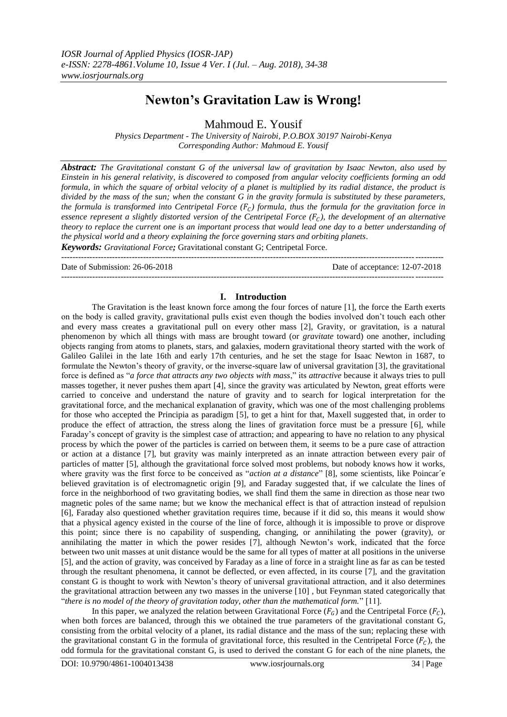# **Newton's Gravitation Law is Wrong!**

Mahmoud E. Yousif

*Physics Department - The University of Nairobi, P.O.BOX 30197 Nairobi-Kenya Corresponding Author: Mahmoud E. Yousif*

*Abstract: The Gravitational constant G of the universal law of gravitation by Isaac Newton, also used by Einstein in his general relativity, is discovered to composed from angular velocity coefficients forming an odd formula, in which the square of orbital velocity of a planet is multiplied by its radial distance, the product is divided by the mass of the sun; when the constant G in the gravity formula is substituted by these parameters, the formula is transformed into Centripetal Force*  $(F_c)$  *formula, thus the formula for the gravitation force in essence represent a slightly distorted version of the Centripetal Force*  $(F<sub>c</sub>)$ *, the development of an alternative theory to replace the current one is an important process that would lead one day to a better understanding of the physical world and a theory explaining the force governing stars and orbiting planets.*

*Keywords: Gravitational Force;* Gravitational constant G; Centripetal Force.

--------------------------------------------------------------------------------------------------------------------------------------- Date of Submission: 26-06-2018 Date of acceptance: 12-07-2018 ---------------------------------------------------------------------------------------------------------------------------------------

## **I. Introduction**

The Gravitation is the least known force among the four forces of nature [1], the force the Earth exerts on the body is called gravity, gravitational pulls exist even though the bodies involved don"t touch each other and every mass creates a gravitational pull on every other mass [2], Gravity, or gravitation, is a natural phenomenon by which all things with mass are brought toward (or *gravitate* toward) one another, including objects ranging from atoms to planets, stars, and galaxies, modern gravitational theory started with the work of Galileo Galilei in the late 16th and early 17th centuries, and he set the stage for Isaac Newton in 1687, to formulate the Newton"s theory of gravity, or the inverse-square law of universal gravitation [3], the gravitational force is defined as "*a force that attracts any two objects with mass*," its *attractive* because it always tries to pull masses together, it never pushes them apart [4], since the gravity was articulated by Newton, great efforts were carried to conceive and understand the nature of gravity and to search for logical interpretation for the gravitational force, and the mechanical explanation of gravity, which was one of the most challenging problems for those who accepted the Principia as paradigm [5], to get a hint for that, Maxell suggested that, in order to produce the effect of attraction, the stress along the lines of gravitation force must be a pressure [6], while Faraday"s concept of gravity is the simplest case of attraction; and appearing to have no relation to any physical process by which the power of the particles is carried on between them, it seems to be a pure case of attraction or action at a distance [7], but gravity was mainly interpreted as an innate attraction between every pair of particles of matter [5], although the gravitational force solved most problems, but nobody knows how it works, where gravity was the first force to be conceived as "*action at a distance*" [8], some scientists, like Poincar'e believed gravitation is of electromagnetic origin [9], and Faraday suggested that, if we calculate the lines of force in the neighborhood of two gravitating bodies, we shall find them the same in direction as those near two magnetic poles of the same name; but we know the mechanical effect is that of attraction instead of repulsion [6], Faraday also questioned whether gravitation requires time, because if it did so, this means it would show that a physical agency existed in the course of the line of force, although it is impossible to prove or disprove this point; since there is no capability of suspending, changing, or annihilating the power (gravity), or annihilating the matter in which the power resides [7], although Newton"s work, indicated that the force between two unit masses at unit distance would be the same for all types of matter at all positions in the universe [5], and the action of gravity, was conceived by Faraday as a line of force in a straight line as far as can be tested through the resultant phenomena, it cannot be deflected, or even affected, in its course [7], and the gravitation constant G is thought to work with Newton"s theory of universal gravitational attraction, and it also determines the gravitational attraction between any two masses in the universe [10] , but Feynman stated categorically that "*there is no model of the theory of gravitation today, other than the mathematical form.*" [11].

In this paper, we analyzed the relation between Gravitational Force  $(F_G)$  and the Centripetal Force  $(F_C)$ , when both forces are balanced, through this we obtained the true parameters of the gravitational constant G, consisting from the orbital velocity of a planet, its radial distance and the mass of the sun; replacing these with the gravitational constant G in the formula of gravitational force, this resulted in the Centripetal Force  $(F_C)$ , the odd formula for the gravitational constant G, is used to derived the constant G for each of the nine planets, the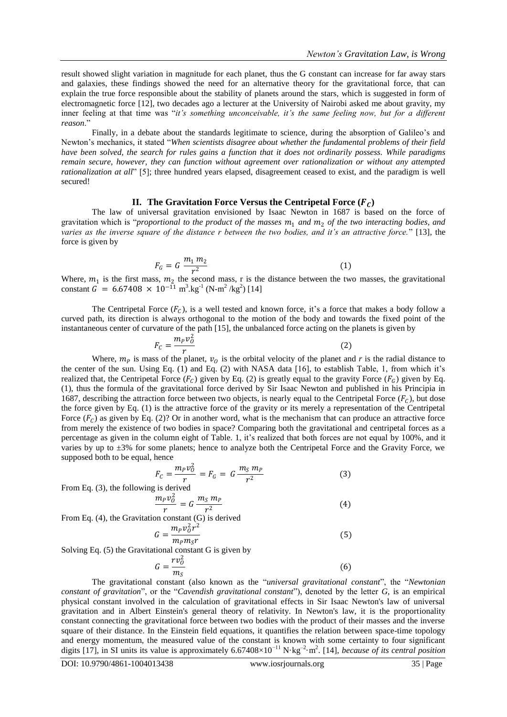result showed slight variation in magnitude for each planet, thus the G constant can increase for far away stars and galaxies, these findings showed the need for an alternative theory for the gravitational force, that can explain the true force responsible about the stability of planets around the stars, which is suggested in form of electromagnetic force [12], two decades ago a lecturer at the University of Nairobi asked me about gravity, my inner feeling at that time was "*it's something unconceivable, it's the same feeling now, but for a different reason*."

Finally, in a debate about the standards legitimate to science, during the absorption of Galileo's and Newton"s mechanics, it stated "*When scientists disagree about whether the fundamental problems of their field have been solved, the search for rules gains a function that it does not ordinarily possess. While paradigms remain secure, however, they can function without agreement over rationalization or without any attempted rationalization at all*" [5]; three hundred years elapsed, disagreement ceased to exist, and the paradigm is well secured!

## **II.** The Gravitation Force Versus the Centripetal Force  $(F<sub>C</sub>)$

The law of universal gravitation envisioned by Isaac Newton in 1687 is based on the force of gravitation which is "*proportional to the product of the masses*  $m_1$  *and*  $m_2$  *of the two interacting bodies, and varies as the inverse square of the distance r between the two bodies, and it's an attractive force.*" [13], the force is given by

$$
F_G = G \frac{m_1 m_2}{r^2} \tag{1}
$$

Where,  $m_1$  is the first mass,  $m_2$  the second mass, r is the distance between the two masses, the gravitational constant  $G = 6.67408 \times 10^{-11} \text{ m}^3.\text{kg}^{-1} (\text{N} \cdot \text{m}^2/\text{kg}^2)$  [14]

The Centripetal Force  $(F_C)$ , is a well tested and known force, it's a force that makes a body follow a curved path, its direction is always orthogonal to the motion of the body and towards the fixed point of the instantaneous center of curvature of the path [15], the unbalanced force acting on the planets is given by

$$
F_C = \frac{m_p v_0^2}{r} \tag{2}
$$

Where,  $m_p$  is mass of the planet,  $v_o$  is the orbital velocity of the planet and r is the radial distance to the center of the sun. Using Eq. (1) and Eq. (2) with NASA data [16], to establish Table, 1, from which it"s realized that, the Centripetal Force  $(F_c)$  given by Eq. (2) is greatly equal to the gravity Force  $(F_c)$  given by Eq. (1), thus the formula of the gravitational force derived by Sir Isaac Newton and published in his Principia in 1687, describing the attraction force between two objects, is nearly equal to the Centripetal Force  $(F_C)$ , but dose the force given by Eq. (1) is the attractive force of the gravity or its merely a representation of the Centripetal Force  $(F_c)$  as given by Eq. (2)? Or in another word, what is the mechanism that can produce an attractive force from merely the existence of two bodies in space? Comparing both the gravitational and centripetal forces as a percentage as given in the column eight of Table. 1, it's realized that both forces are not equal by 100%, and it varies by up to ±3% for some planets; hence to analyze both the Centripetal Force and the Gravity Force, we supposed both to be equal, hence

$$
F_c = \frac{m_p v_0^2}{r} = F_G = G \frac{m_S m_p}{r^2}
$$
 (3)

From Eq. (3), the following is derived

$$
\frac{m_p v_0^2}{r} = G \frac{m_S m_p}{r^2} \tag{4}
$$

From Eq. (4), the Gravitation constant (G) is derived

$$
G = \frac{m_p v_0^2 r^2}{m_p m_s r}
$$
 (5)

Solving Eq. (5) the Gravitational constant G is given by

$$
G = \frac{rv_0^2}{m_S} \tag{6}
$$

The gravitational constant (also known as the "*universal gravitational constant*", the "*Newtonian constant of gravitation*", or the "*Cavendish gravitational constant*"), denoted by the letter *G*, is an empirical physical constant involved in the calculation of gravitational effects in Sir Isaac Newton's law of universal gravitation and in Albert Einstein's general theory of relativity. In Newton's law, it is the proportionality constant connecting the gravitational force between two bodies with the product of their masses and the inverse square of their distance. In the Einstein field equations, it quantifies the relation between space-time topology and energy momentum, the measured value of the constant is known with some certainty to four significant digits [17], in SI units its value is approximately 6.67408×10−11 N·kg–2 ·m<sup>2</sup> . [14], *because of its central position*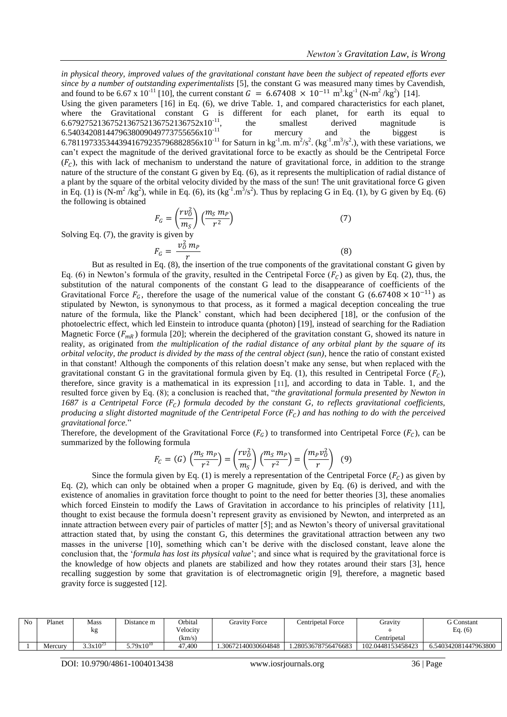*in physical theory, improved values of the gravitational constant have been the subject of repeated efforts ever since by a number of outstanding experimentalists* [5], the constant G was measured many times by Cavendish, and found to be 6.67 x 10<sup>-11</sup> [10], the current constant  $G = 6.67408 \times 10^{-11} \text{ m}^3 \text{ kg}^{-1} (\text{N} \text{m}^2/\text{kg}^2)$  [14]. Using the given parameters [16] in Eq. (6), we drive Table. 1, and compared characteristics for each planet, where the Gravitational constant G is different for each planet, for earth its equal to 6.6792752136752136752136752136752x10<sup>-11</sup>, the smallest derived magnitude is  $6.5403420814479638009049773755656 \times 10^{-11}$  for mercury and the biggest is 6.7811973353443941679235796882856x10<sup>-11</sup> for Saturn in kg<sup>-1</sup>.m. m<sup>2</sup>/s<sup>2</sup>. (kg<sup>-1</sup>.m<sup>3</sup>/s<sup>2</sup>.), with these variations, we can"t expect the magnitude of the derived gravitational force to be exactly as should be the Centripetal Force  $(F_C)$ , this with lack of mechanism to understand the nature of gravitational force, in addition to the strange nature of the structure of the constant G given by Eq. (6), as it represents the multiplication of radial distance of a plant by the square of the orbital velocity divided by the mass of the sun! The unit gravitational force G given in Eq. (1) is (N-m<sup>2</sup>/kg<sup>2</sup>), while in Eq. (6), its (kg<sup>-1</sup>.m<sup>3</sup>/s<sup>2</sup>). Thus by replacing G in Eq. (1), by G given by Eq. (6) the following is obtained

$$
F_G = \left(\frac{rv_0^2}{m_S}\right) \left(\frac{m_S m_P}{r^2}\right)
$$
  
y is given by  

$$
v^2 \bar{m} = 1
$$
 (7)

Solving Eq.  $(7)$ , the gravity

$$
F_G = \frac{v_0^2 m_P}{r}
$$
 (8)  
But as resulted in Eq. (8), the insertion of the true components of the gravitational constant G given by

Eq. (6) in Newton's formula of the gravity, resulted in the Centripetal Force  $(F_C)$  as given by Eq. (2), thus, the substitution of the natural components of the constant G lead to the disappearance of coefficients of the Gravitational Force  $F_G$ , therefore the usage of the numerical value of the constant G (6.67408 × 10<sup>-11</sup>) as stipulated by Newton, is synonymous to that process, as it formed a magical deception concealing the true nature of the formula, like the Planck" constant, which had been deciphered [18], or the confusion of the photoelectric effect, which led Einstein to introduce quanta (photon) [19], instead of searching for the Radiation Magnetic Force  $(F_{mR})$  formula [20]; wherein the deciphered of the gravitation constant G, showed its nature in reality, as originated from *the multiplication of the radial distance of any orbital plant by the square of its orbital velocity, the product is divided by the mass of the central object (sun)*, hence the ratio of constant existed in that constant! Although the components of this relation doesn"t make any sense, but when replaced with the gravitational constant G in the gravitational formula given by Eq. (1), this resulted in Centripetal Force  $(F_C)$ , therefore, since gravity is a mathematical in its expression [11], and according to data in Table. 1, and the resulted force given by Eq. (8); a conclusion is reached that, "*the gravitational formula presented by Newton in*  1687 is a Centripetal Force  $(F_C)$  formula decoded by the constant G, to reflects gravitational coefficients, *producing a slight distorted magnitude of the Centripetal Force*  $(F_c)$  and has nothing to do with the perceived *gravitational force.*"

Therefore, the development of the Gravitational Force  $(F_G)$  to transformed into Centripetal Force  $(F_C)$ , can be summarized by the following formula

$$
F_C = (G) \left(\frac{m_S m_P}{r^2}\right) = \left(\frac{rv_0^2}{m_S}\right) \left(\frac{m_S m_P}{r^2}\right) = \left(\frac{m_P v_0^2}{r}\right) \tag{9}
$$

Since the formula given by Eq. (1) is merely a representation of the Centripetal Force  $(F<sub>C</sub>)$  as given by Eq. (2), which can only be obtained when a proper G magnitude, given by Eq. (6) is derived, and with the existence of anomalies in gravitation force thought to point to the need for better theories [3], these anomalies which forced Einstein to modify the Laws of Gravitation in accordance to his principles of relativity [11], thought to exist because the formula doesn"t represent gravity as envisioned by Newton, and interpreted as an innate attraction between every pair of particles of matter [5]; and as Newton's theory of universal gravitational attraction stated that, by using the constant G, this determines the gravitational attraction between any two masses in the universe [10], something which can"t be derive with the disclosed constant, leave alone the conclusion that, the "*formula has lost its physical value*"; and since what is required by the gravitational force is the knowledge of how objects and planets are stabilized and how they rotates around their stars [3], hence recalling suggestion by some that gravitation is of electromagnetic origin [9], therefore, a magnetic based gravity force is suggested [12].

| N <sub>0</sub> | Planet  | Mass                 | Distance m     | Orbital  | <b>Gravity Force</b> | <b>Centripetal Force</b> | Gravity           | <b>G</b> Constant    |
|----------------|---------|----------------------|----------------|----------|----------------------|--------------------------|-------------------|----------------------|
|                |         | κg                   |                | Velocity |                      |                          |                   | Eq. $(6)$            |
|                |         |                      |                | km/s     |                      |                          | ≥entripetal       |                      |
|                | Mercurv | $5.3 \times 10^{23}$ | $5.79x10^{10}$ | 47.400   | .30672140030604848   | 1.28053678756476683      | 102.0448153458423 | 6.540342081447963800 |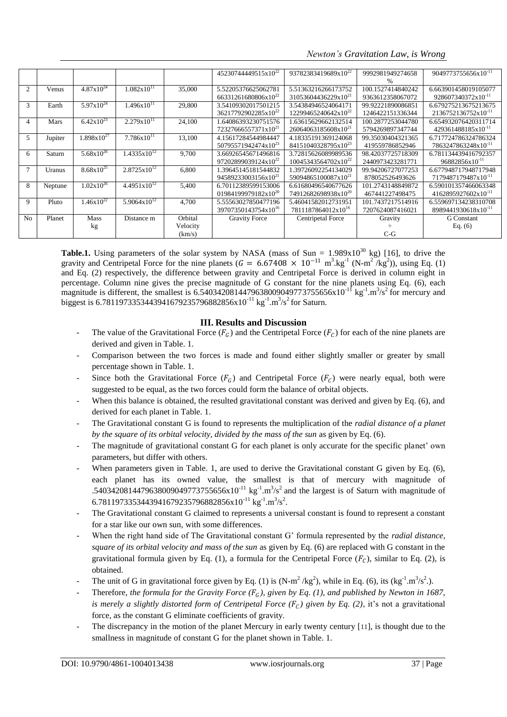*Newton's Gravitation Law, is Wrong*

|                |         |                        |                         |          | 45230744449515x10 <sup>22</sup> | 93782383419689x10 <sup>22</sup> | 9992981949274658  | 9049773755656x10 <sup>-11</sup> |
|----------------|---------|------------------------|-------------------------|----------|---------------------------------|---------------------------------|-------------------|---------------------------------|
|                |         |                        |                         |          |                                 |                                 | $\%$              |                                 |
| $\overline{2}$ | Venus   | $4.87 \times 10^{24}$  | $1.082 \times 10^{11}$  | 35,000   | 5.52205376625062781             | 5.51363216266173752             | 100.1527414840242 | 6.663901458019105077            |
|                |         |                        |                         |          | 66331261680806x10 <sup>22</sup> | 31053604436229x10 <sup>21</sup> | 9363612358067072  | 928607340372x10 <sup>-11</sup>  |
| 3              | Earth   | $5.97x10^{24}$         | $1.496x10^{11}$         | 29,800   | 3.54109302017501215             | 3.54384946524064171             | 99.92221890086851 | 6.679275213675213675            |
|                |         |                        |                         |          | 36217792902285x10 <sup>22</sup> | 12299465240642x10 <sup>22</sup> | 1246422151336344  | 2136752136752x10 <sup>-11</sup> |
| 4              | Mars    | $6.42 \times 10^{23}$  | $2.279x10^{11}$         | 24,100   | 1.64086393230751576             | 1.63615629662132514             | 100.2877253044780 | 6.654932076420311714            |
|                |         |                        |                         |          | 72327666557371x10 <sup>21</sup> | 26064063185608x10 <sup>21</sup> | 5794269897347744  | 429361488185x10 <sup>-11</sup>  |
| 5              | Jupiter | $1.898 \times 10^{27}$ | $7.786x10^{11}$         | 13,100   | 4.15617284544984447             | 4.18335191369124068             | 99.35030404321365 | 6.717724786324786324            |
|                |         |                        |                         |          | 50795571942474x10 <sup>23</sup> | 84151040328795x10 <sup>23</sup> | 419559786852946   | 7863247863248x10 <sup>-11</sup> |
| 6              | Saturn  | $5.68 \times 10^{26}$  | $1.4335 \times 10^{12}$ | 9,700    | 3.66926545671496816             | 3.72815626089989536             | 98.42037725718309 | 6.781134439416792357            |
|                |         |                        |                         |          | 97202899039124x10 <sup>22</sup> | 10045343564702x10 <sup>22</sup> | 2440973423281771  | 96882856x10 <sup>-11</sup>      |
|                | Uranus  | $8.68 \times 10^{25}$  | $2.8725 \times 10^{12}$ | 6,800    | 1.39645145181544832             | 1.39726092254134029             | 99.94206727077253 | 6.677948717948717948            |
|                |         |                        |                         |          | 94589233003156x10 <sup>21</sup> | 59094865100087x10 <sup>21</sup> | 878052526493626   | 7179487179487x10 <sup>-11</sup> |
| 8              | Neptune | $1.02 \times 10^{26}$  | $4.4951 \times 10^{12}$ | 5,400    | 6.70112389599153006             | 6.61680496540677626             | 101.2743148849872 | 6.590101357466063348            |
|                |         |                        |                         |          | 01984199979182x10 <sup>20</sup> | 74912682698938x10 <sup>20</sup> | 467441227498475   | 4162895927602x10 <sup>-11</sup> |
| 9              | Pluto   | $1.46x10^{22}$         | $5.9064 \times 10^{12}$ | 4,700    | 5.55563027850477196             | 5.46041582012731951             | 101.7437217514916 | 6.559697134238310708            |
|                |         |                        |                         |          | 39707350143754x10 <sup>16</sup> | 7811187864012x10 <sup>16</sup>  | 7207624087416021  | 8989441930618x10 <sup>-11</sup> |
| No             | Planet  | Mass                   | Distance m              | Orbital  | <b>Gravity Force</b>            | Centripetal Force               | Gravity           | <b>G</b> Constant               |
|                |         | kg                     |                         | Velocity |                                 |                                 |                   | Eq. $(6)$                       |
|                |         |                        |                         | (km/s)   |                                 |                                 | $C-G$             |                                 |

**Table.1.** Using parameters of the solar system by NASA (mass of Sun =  $1.989 \times 10^{30}$  kg) [16], to drive the gravity and Centripetal Force for the nine planets  $(G = 6.67408 \times 10^{-11} \text{ m}^3 \text{ kg}^{-1} \text{ (N-m}^2/\text{kg}^2)$ , using Eq. (1) and Eq. (2) respectively, the difference between gravity and Centripetal Force is derived in column eight in percentage. Column nine gives the precise magnitude of G constant for the nine planets using Eq. (6), each magnitude is different, the smallest is 6.5403420814479638009049773755656x10<sup>-11</sup> kg<sup>-1</sup>.m<sup>3</sup>/s<sup>2</sup> for mercury and biggest is 6.7811973353443941679235796882856x10<sup>-11</sup> kg<sup>-1</sup>.m<sup>3</sup>/s<sup>2</sup> for Saturn.

# **III. Results and Discussion**

- The value of the Gravitational Force  $(F_G)$  and the Centripetal Force  $(F_G)$  for each of the nine planets are derived and given in Table. 1.
- Comparison between the two forces is made and found either slightly smaller or greater by small percentage shown in Table. 1.
- Since both the Gravitational Force  $(F_G)$  and Centripetal Force  $(F_C)$  were nearly equal, both were suggested to be equal, as the two forces could form the balance of orbital objects.
- When this balance is obtained, the resulted gravitational constant was derived and given by Eq. (6), and derived for each planet in Table. 1.
- The Gravitational constant G is found to represents the multiplication of the *radial distance of a planet by the square of its orbital velocity, divided by the mass of the sun* as given by Eq. (6)*.*
- The magnitude of gravitational constant G for each planet is only accurate for the specific planet' own parameters, but differ with others.
- When parameters given in Table. 1, are used to derive the Gravitational constant G given by Eq. (6), each planet has its owned value, the smallest is that of mercury with magnitude of .5403420814479638009049773755656x10<sup>-11</sup> kg<sup>-1</sup>.m<sup>3</sup>/s<sup>2</sup> and the largest is of Saturn with magnitude of 6.7811973353443941679235796882856x10<sup>-11</sup> kg<sup>-1</sup>.m<sup>3</sup>/s<sup>2</sup>.
- The Gravitational constant G claimed to represents a universal constant is found to represent a constant for a star like our own sun, with some differences.
- When the right hand side of The Gravitational constant G' formula represented by the *radial distance*, *square of its orbital velocity and mass of the sun* as given by Eq. (6) are replaced with G constant in the gravitational formula given by Eq. (1), a formula for the Centripetal Force  $(F_c)$ , similar to Eq. (2), is obtained.
- The unit of G in gravitational force given by Eq. (1) is  $(N-m^2/kg^2)$ , while in Eq. (6), its  $(kg^{-1} \cdot m^3/s^2)$ .
- Therefore, *the formula for the Gravity Force*  $(F_G)$ *, given by Eq. (1), and published by Newton in 1687, is merely a slightly distorted form of Centripetal Force* ( $F_c$ ) given by Eq. (2), it's not a gravitational force, as the constant G eliminate coefficients of gravity.
- The discrepancy in the motion of the planet Mercury in early twenty century [11], is thought due to the smallness in magnitude of constant G for the planet shown in Table. 1.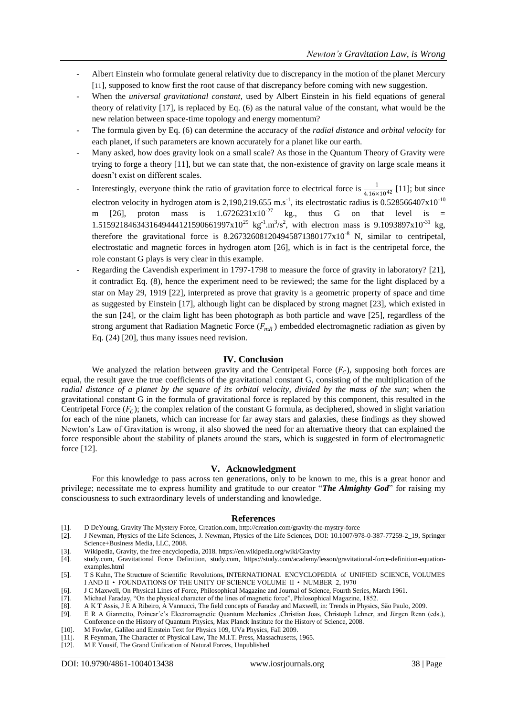- Albert Einstein who formulate general relativity due to discrepancy in the motion of the planet Mercury [11], supposed to know first the root cause of that discrepancy before coming with new suggestion.
- When the *universal gravitational constant*, used by Albert Einstein in his field equations of general theory of relativity [17], is replaced by Eq. (6) as the natural value of the constant, what would be the new relation between space-time topology and energy momentum?
- The formula given by Eq. (6) can determine the accuracy of the *radial distance* and *orbital velocity* for each planet, if such parameters are known accurately for a planet like our earth.
- Many asked, how does gravity look on a small scale? As those in the Quantum Theory of Gravity were trying to forge a theory [11], but we can state that, the non-existence of gravity on large scale means it doesn"t exist on different scales.
- Interestingly, everyone think the ratio of gravitation force to electrical force is  $\frac{1}{4.16\times10^{42}}$  [11]; but since electron velocity in hydrogen atom is 2,190,219.655 m.s<sup>-1</sup>, its electrostatic radius is  $0.528566407 \times 10^{-10}$ m [26], proton mass is  $1.6726231x10^{-27}$  kg., thus G on that level is = 1.5159218463431649444121590661997x10<sup>29</sup> kg<sup>-1</sup>.m<sup>3</sup>/s<sup>2</sup>, with electron mass is 9.1093897x10<sup>-31</sup> kg, therefore the gravitational force is  $8.267326081204945871380177 \times 10^{-8}$  N, similar to centripetal, electrostatic and magnetic forces in hydrogen atom [26], which is in fact is the centripetal force, the role constant G plays is very clear in this example.
- Regarding the Cavendish experiment in 1797-1798 to measure the force of gravity in laboratory? [21], it contradict Eq. (8), hence the experiment need to be reviewed; the same for the light displaced by a star on May 29, 1919 [22], interpreted as prove that gravity is a geometric property of space and time as suggested by Einstein [17], although light can be displaced by strong magnet [23], which existed in the sun [24], or the claim light has been photograph as both particle and wave [25], regardless of the strong argument that Radiation Magnetic Force  $(F_{mR})$  embedded electromagnetic radiation as given by Eq. (24) [20], thus many issues need revision.

### **IV. Conclusion**

We analyzed the relation between gravity and the Centripetal Force  $(F<sub>c</sub>)$ , supposing both forces are equal, the result gave the true coefficients of the gravitational constant G, consisting of the multiplication of the *radial distance of a planet by the square of its orbital velocity, divided by the mass of the sun*; when the gravitational constant G in the formula of gravitational force is replaced by this component, this resulted in the Centripetal Force  $(F_C)$ ; the complex relation of the constant G formula, as deciphered, showed in slight variation for each of the nine planets, which can increase for far away stars and galaxies, these findings as they showed Newton"s Law of Gravitation is wrong, it also showed the need for an alternative theory that can explained the force responsible about the stability of planets around the stars, which is suggested in form of electromagnetic force [12].

#### **V. Acknowledgment**

For this knowledge to pass across ten generations, only to be known to me, this is a great honor and privilege; necessitate me to express humility and gratitude to our creator "*The Almighty God*" for raising my consciousness to such extraordinary levels of understanding and knowledge.

#### **References**

- [1]. D DeYoung, Gravity The Mystery Force, Creation.com,<http://creation.com/gravity-the-mystry-force>
- [2]. J Newman, Physics of the Life Sciences, J. Newman, Physics of the Life Sciences, DOI: 10.1007/978-0-387-77259-2\_19, Springer Science+Business Media, LLC, 2008.
- [3]. Wikipedia, Gravity, the free encyclopedia, 2018[. https://en.wikipedia.org/wiki/Gravity](https://en.wikipedia.org/wiki/Gravity)
- [4]. study.com, Gravitational Force Definition, study.com, [https://study.com/academy/lesson/gravitational-force-definition-equation](https://study.com/academy/lesson/gravitational-force-definition-equation-examples.html)[examples.html](https://study.com/academy/lesson/gravitational-force-definition-equation-examples.html)

- [6]. J C Maxwell, On Physical Lines of Force, Philosophical Magazine and Journal of Science, Fourth Series, March 1961.
- [7]. Michael Faraday, "On the physical character of the lines of magnetic force", Philosophical Magazine, 1852.
- [8]. A K T Assis, J E A Ribeiro, A Vannucci, The field concepts of Faraday and Maxwell, in: Trends in Physics, São Paulo, 2009.
- [9]. E R A Giannetto, Poincar´e"s Electromagnetic Quantum Mechanics ,Christian Joas, Christoph Lehner, and Jürgen Renn (eds.), Conference on the History of Quantum Physics, Max Planck Institute for the History of Science, 2008.
- [10]. M Fowler, Galileo and Einstein Text for Physics 109, UVa Physics, Fall 2009.
- [11]. R Feynman, The Character of Physical Law, The M.I.T. Press, Massachusetts, 1965.
- [12]. M E Yousif, The Grand Unification of Natural Forces, Unpublished

<sup>[5].</sup> T S Kuhn, The Structure of Scientific Revolutions, INTERNATIONAL ENCYCLOPEDIA of UNIFIED SCIENCE, VOLUMES I AND II • FOUNDATIONS OF THE UNITY OF SCIENCE VOLUME II • NUMBER 2, 1970